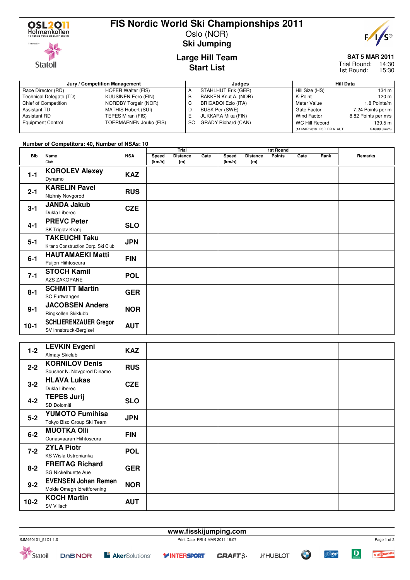

## **FIS Nordic World Ski Championships 2011**

Oslo (NOR)



**SAT 5 MAR 2011**

Trial Round: 14:30 15:30 1st Round:

#### **Jury / Competition Management Judges Hill Data** Race Director (RD) HOFER Walter (FIS)<br>Technical Delegate (TD) KUUSINEN Eero (FIN) Technical Delegate (TD) Chief of Competition NORDBY Torgeir (NOR) Assistant TD MATHIS Hubert (SUI)<br>Assistant RD TEPES Miran (FIS) TEPES Miran (FIS) Equipment Control TOERMAENEN Jouko (FIS) A STAHLHUT Erik (GER)<br>B BAKKEN Knut A. (NOR B BAKKEN Knut A. (NOR)<br>C BRIGADOI Ezio (ITA) BRIGADOI Ezio (ITA) D BUSK Per (SWE)<br>E JUKKARA Mika (F JUKKARA Mika (FIN) SC GRADY Richard (CAN) Hill Size (HS) 134 m<br>K-Point 120 m K-Point<br>Meter Value 1.8 Points/m Gate Factor 7.24 Points per m<br>Wind Factor 8.82 Points per m/s 8.82 Points per m/s WC Hill Record 139.5 m (14 MAR 2010 KOFLER A. AUT G16/88.8km/h)

**Start List**

#### **Number of Competitors: 40, Number of NSAs: 10**

|            |                                    |            | Trial  |                 |      |        | 1st Round       |               |      |      |         |
|------------|------------------------------------|------------|--------|-----------------|------|--------|-----------------|---------------|------|------|---------|
| <b>Bib</b> | Name                               | <b>NSA</b> | Speed  | <b>Distance</b> | Gate | Speed  | <b>Distance</b> | <b>Points</b> | Gate | Rank | Remarks |
|            | Club                               |            | [km/h] | [m]             |      | [km/h] | [m]             |               |      |      |         |
| $1 - 1$    | <b>KOROLEV Alexey</b>              | <b>KAZ</b> |        |                 |      |        |                 |               |      |      |         |
|            |                                    |            |        |                 |      |        |                 |               |      |      |         |
|            | Dynamo                             |            |        |                 |      |        |                 |               |      |      |         |
| $2 - 1$    | <b>KARELIN Pavel</b>               | <b>RUS</b> |        |                 |      |        |                 |               |      |      |         |
|            | Nizhniy Novgorod                   |            |        |                 |      |        |                 |               |      |      |         |
| $3 - 1$    | <b>JANDA Jakub</b>                 | <b>CZE</b> |        |                 |      |        |                 |               |      |      |         |
|            | Dukla Liberec                      |            |        |                 |      |        |                 |               |      |      |         |
|            |                                    |            |        |                 |      |        |                 |               |      |      |         |
| $4 - 1$    | <b>PREVC Peter</b>                 | <b>SLO</b> |        |                 |      |        |                 |               |      |      |         |
|            | SK Triglav Kranj                   |            |        |                 |      |        |                 |               |      |      |         |
| $5 - 1$    | <b>TAKEUCHI Taku</b>               | <b>JPN</b> |        |                 |      |        |                 |               |      |      |         |
|            | Kitano Construction Corp. Ski Club |            |        |                 |      |        |                 |               |      |      |         |
| $6 - 1$    |                                    | <b>FIN</b> |        |                 |      |        |                 |               |      |      |         |
|            | <b>HAUTAMAEKI Matti</b>            |            |        |                 |      |        |                 |               |      |      |         |
|            | Puijon Hiihtoseura                 |            |        |                 |      |        |                 |               |      |      |         |
|            | <b>STOCH Kamil</b>                 | <b>POL</b> |        |                 |      |        |                 |               |      |      |         |
| $7 - 1$    | <b>AZS ZAKOPANE</b>                |            |        |                 |      |        |                 |               |      |      |         |
| $8 - 1$    | <b>SCHMITT Martin</b>              |            |        |                 |      |        |                 |               |      |      |         |
|            |                                    | <b>GER</b> |        |                 |      |        |                 |               |      |      |         |
|            | SC Furtwangen                      |            |        |                 |      |        |                 |               |      |      |         |
| $9 - 1$    | <b>JACOBSEN Anders</b>             | <b>NOR</b> |        |                 |      |        |                 |               |      |      |         |
|            | Ringkollen Skiklubb                |            |        |                 |      |        |                 |               |      |      |         |
|            | <b>SCHLIERENZAUER Gregor</b>       |            |        |                 |      |        |                 |               |      |      |         |
| $10-1$     |                                    | <b>AUT</b> |        |                 |      |        |                 |               |      |      |         |
|            | SV Innsbruck-Bergisel              |            |        |                 |      |        |                 |               |      |      |         |

| $1 - 2$ | <b>LEVKIN Evgeni</b><br><b>Almaty Skiclub</b>            | <b>KAZ</b> |  |  |
|---------|----------------------------------------------------------|------------|--|--|
| $2 - 2$ | <b>KORNILOV Denis</b><br>Sdushor N. Novgorod Dinamo      | <b>RUS</b> |  |  |
| $3 - 2$ | <b>HLAVA Lukas</b><br>Dukla Liberec                      | <b>CZE</b> |  |  |
| $4 - 2$ | <b>TEPES Jurij</b><br>SD Dolomiti                        | <b>SLO</b> |  |  |
| $5-2$   | <b>YUMOTO Fumihisa</b><br>Tokyo Biso Group Ski Team      | <b>JPN</b> |  |  |
| $6 - 2$ | <b>MUOTKA OIII</b><br>Ounasvaaran Hiihtoseura            | <b>FIN</b> |  |  |
| $7 - 2$ | <b>ZYLA Piotr</b><br>KS Wisla Ustronianka                | <b>POL</b> |  |  |
| $8 - 2$ | <b>FREITAG Richard</b><br><b>SG Nickelhuette Aue</b>     | <b>GER</b> |  |  |
| $9 - 2$ | <b>EVENSEN Johan Remen</b><br>Molde Omegn Idrettforening | <b>NOR</b> |  |  |
| $10-2$  | <b>KOCH Martin</b><br>SV Villach                         | <b>AUT</b> |  |  |

**www.fisskijumping.com** SJM490101\_51D1 1.0 Print Date FRI 4 MAR 2011 16:07 Page 1 of 2 $\mathbf D$ **LEROY E Aker**Solutions<sup>®</sup> VIESMANN Statoil **DOBNOR Y INTERSPORT CRAFT:** *IF* HUBLOT



### **Ski Jumping Large Hill Team**